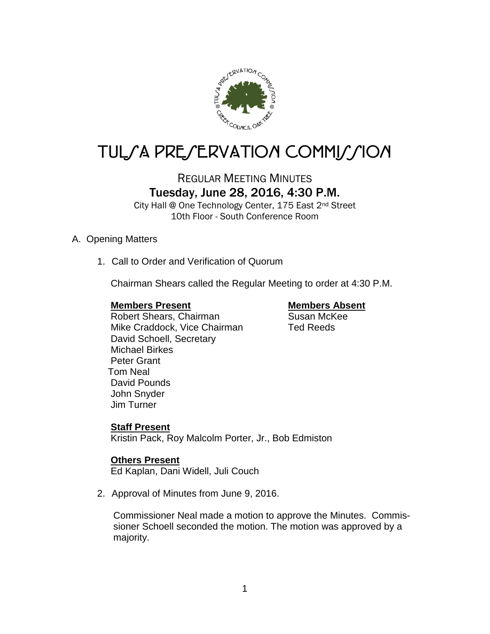

# TUL/A PRE/ERVATION COMMI*J*/ION

# REGULAR MEETING MINUTES Tuesday, June 28, 2016, 4:30 P.M.

City Hall @ One Technology Center, 175 East 2<sup>nd</sup> Street 10th Floor - South Conference Room

#### A. Opening Matters

1. Call to Order and Verification of Quorum

Chairman Shears called the Regular Meeting to order at 4:30 P.M.

# **Members Present Members Absent Exercise Sensitive Members Absent Absent Absent Absent Absent Absent Absent Absent Absent Absent Absent Absent Absent Absent Absent Absent Absent Absent Absent Absent Absent Absent Absent Ab**

Robert Shears, Chairman Mike Craddock, Vice Chairman Ted Reeds David Schoell, Secretary

Michael Birkes Peter Grant Tom Neal David Pounds John Snyder Jim Turner

### **Staff Present**

Kristin Pack, Roy Malcolm Porter, Jr., Bob Edmiston

# **Others Present**

Ed Kaplan, Dani Widell, Juli Couch

2. Approval of Minutes from June 9, 2016.

 Commissioner Neal made a motion to approve the Minutes. Commis sioner Schoell seconded the motion. The motion was approved by a majority.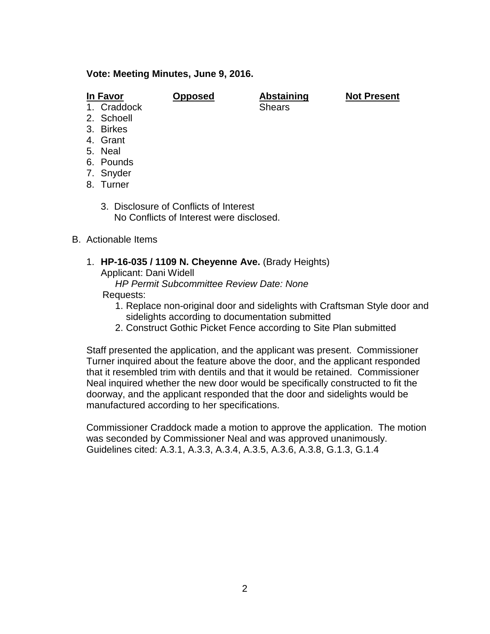#### **Vote: Meeting Minutes, June 9, 2016.**

| In F | -avor |
|------|-------|
|      |       |

**In Favor Opposed Abstaining Not Present**

- 1. Craddock Shears
- 2. Schoell
- 3. Birkes
- 4. Grant
- 5. Neal
- 6. Pounds
- 7. Snyder
- 8. Turner
	- 3. Disclosure of Conflicts of Interest No Conflicts of Interest were disclosed.
- B. Actionable Items
	- 1. **HP-16-035 / 1109 N. Cheyenne Ave.** (Brady Heights) Applicant: Dani Widell
		- *HP Permit Subcommittee Review Date: None*

### Requests:

- 1. Replace non-original door and sidelights with Craftsman Style door and sidelights according to documentation submitted
- 2. Construct Gothic Picket Fence according to Site Plan submitted

Staff presented the application, and the applicant was present. Commissioner Turner inquired about the feature above the door, and the applicant responded that it resembled trim with dentils and that it would be retained. Commissioner Neal inquired whether the new door would be specifically constructed to fit the doorway, and the applicant responded that the door and sidelights would be manufactured according to her specifications.

Commissioner Craddock made a motion to approve the application. The motion was seconded by Commissioner Neal and was approved unanimously. Guidelines cited: A.3.1, A.3.3, A.3.4, A.3.5, A.3.6, A.3.8, G.1.3, G.1.4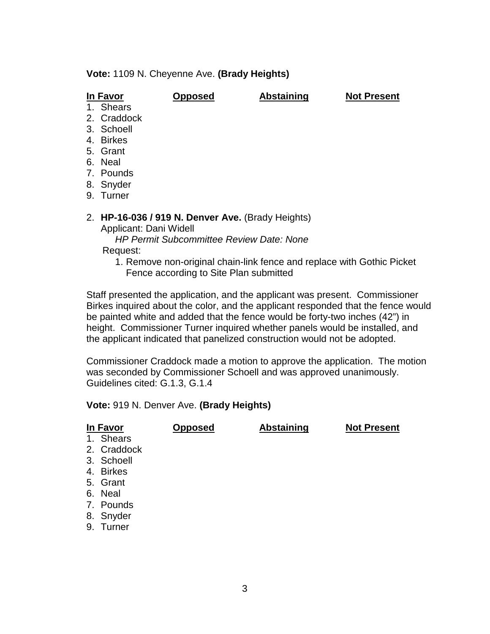**Vote:** 1109 N. Cheyenne Ave. **(Brady Heights)**

**In Favor Opposed Abstaining Not Present**

- 1. Shears
- 2. Craddock
- 3. Schoell
- 4. Birkes
- 5. Grant
- 6. Neal
- 7. Pounds
- 8. Snyder
- 9. Turner
- 2. **HP-16-036 / 919 N. Denver Ave.** (Brady Heights)

Applicant: Dani Widell

 *HP Permit Subcommittee Review Date: None* Request:

1. Remove non-original chain-link fence and replace with Gothic Picket Fence according to Site Plan submitted

Staff presented the application, and the applicant was present. Commissioner Birkes inquired about the color, and the applicant responded that the fence would be painted white and added that the fence would be forty-two inches (42") in height. Commissioner Turner inquired whether panels would be installed, and the applicant indicated that panelized construction would not be adopted.

Commissioner Craddock made a motion to approve the application. The motion was seconded by Commissioner Schoell and was approved unanimously. Guidelines cited: G.1.3, G.1.4

#### **Vote:** 919 N. Denver Ave. **(Brady Heights)**

| In Favor    | <b>Opposed</b> | <b>Abstaining</b> | <b>Not Present</b> |
|-------------|----------------|-------------------|--------------------|
| 1. Shears   |                |                   |                    |
| 2. Craddock |                |                   |                    |
| 3. Schoell  |                |                   |                    |
| 4. Birkes   |                |                   |                    |
| 5. Grant    |                |                   |                    |
| 6. Neal     |                |                   |                    |
| 7. Pounds   |                |                   |                    |
| 8. Snyder   |                |                   |                    |
| 9. Turner   |                |                   |                    |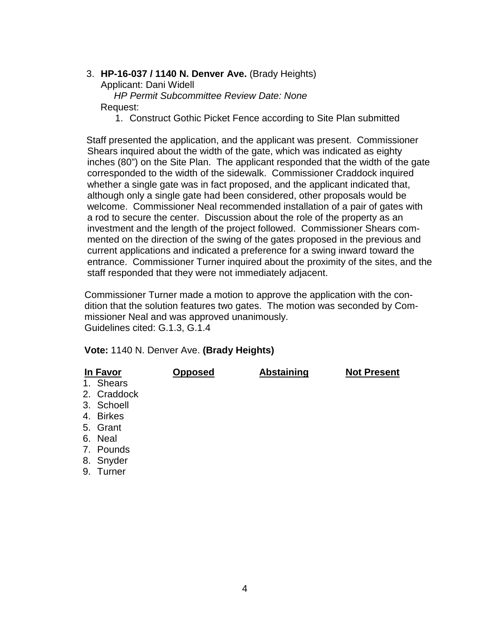#### 3. **HP-16-037 / 1140 N. Denver Ave.** (Brady Heights)

Applicant: Dani Widell

 *HP Permit Subcommittee Review Date: None* Request:

1. Construct Gothic Picket Fence according to Site Plan submitted

Staff presented the application, and the applicant was present. Commissioner Shears inquired about the width of the gate, which was indicated as eighty inches (80") on the Site Plan. The applicant responded that the width of the gate corresponded to the width of the sidewalk. Commissioner Craddock inquired whether a single gate was in fact proposed, and the applicant indicated that, although only a single gate had been considered, other proposals would be welcome. Commissioner Neal recommended installation of a pair of gates with a rod to secure the center. Discussion about the role of the property as an investment and the length of the project followed. Commissioner Shears com mented on the direction of the swing of the gates proposed in the previous and current applications and indicated a preference for a swing inward toward the entrance. Commissioner Turner inquired about the proximity of the sites, and the staff responded that they were not immediately adjacent.

 Commissioner Turner made a motion to approve the application with the con dition that the solution features two gates. The motion was seconded by Com missioner Neal and was approved unanimously. Guidelines cited: G.1.3, G.1.4

#### **Vote:** 1140 N. Denver Ave. **(Brady Heights)**

| In Favor     | <b>Opposed</b> | <b>Abstaining</b> | <b>Not Present</b> |
|--------------|----------------|-------------------|--------------------|
| 1. Shears    |                |                   |                    |
| 2. Craddock  |                |                   |                    |
| 3. Schoell   |                |                   |                    |
| 4. Birkes    |                |                   |                    |
| 5. Grant     |                |                   |                    |
| 6. Neal      |                |                   |                    |
| 7. Pounds    |                |                   |                    |
| 8. Snyder    |                |                   |                    |
| Turner<br>9. |                |                   |                    |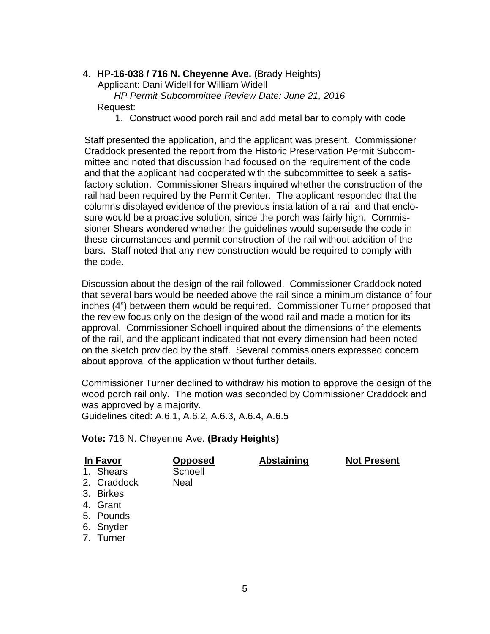#### 4. **HP-16-038 / 716 N. Cheyenne Ave.** (Brady Heights)

Applicant: Dani Widell for William Widell

 *HP Permit Subcommittee Review Date: June 21, 2016* Request:

1. Construct wood porch rail and add metal bar to comply with code

 Staff presented the application, and the applicant was present. Commissioner Craddock presented the report from the Historic Preservation Permit Subcom mittee and noted that discussion had focused on the requirement of the code and that the applicant had cooperated with the subcommittee to seek a satis factory solution. Commissioner Shears inquired whether the construction of the rail had been required by the Permit Center. The applicant responded that the columns displayed evidence of the previous installation of a rail and that enclo sure would be a proactive solution, since the porch was fairly high. Commis sioner Shears wondered whether the guidelines would supersede the code in these circumstances and permit construction of the rail without addition of the bars. Staff noted that any new construction would be required to comply with the code.

 Discussion about the design of the rail followed. Commissioner Craddock noted that several bars would be needed above the rail since a minimum distance of four inches (4") between them would be required. Commissioner Turner proposed that the review focus only on the design of the wood rail and made a motion for its approval. Commissioner Schoell inquired about the dimensions of the elements of the rail, and the applicant indicated that not every dimension had been noted on the sketch provided by the staff. Several commissioners expressed concern about approval of the application without further details.

 Commissioner Turner declined to withdraw his motion to approve the design of the wood porch rail only. The motion was seconded by Commissioner Craddock and was approved by a majority.

Guidelines cited: A.6.1, A.6.2, A.6.3, A.6.4, A.6.5

**Vote:** 716 N. Cheyenne Ave. **(Brady Heights)**

| In Favor    | <b>Opposed</b> | Abstaining | <b>Not Present</b> |
|-------------|----------------|------------|--------------------|
| 1. Shears   | Schoell        |            |                    |
| 2. Craddock | Neal           |            |                    |
| 3. Birkes   |                |            |                    |
| 4. Grant    |                |            |                    |
| 5. Pounds   |                |            |                    |

- 
- 6. Snyder
- 7. Turner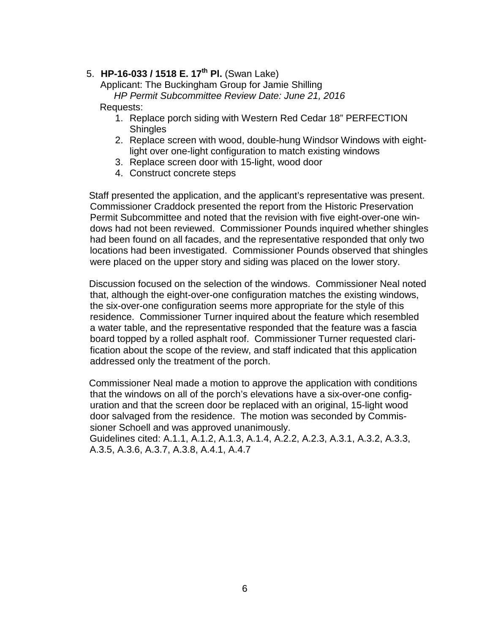# 5. **HP-16-033 / 1518 E. 17th Pl.** (Swan Lake)

 Applicant: The Buckingham Group for Jamie Shilling *HP Permit Subcommittee Review Date: June 21, 2016*

#### Requests:

- 1. Replace porch siding with Western Red Cedar 18" PERFECTION **Shingles**
- 2. Replace screen with wood, double-hung Windsor Windows with eightlight over one-light configuration to match existing windows
- 3. Replace screen door with 15-light, wood door
- 4. Construct concrete steps

 Staff presented the application, and the applicant's representative was present. Commissioner Craddock presented the report from the Historic Preservation Permit Subcommittee and noted that the revision with five eight-over-one windows had not been reviewed. Commissioner Pounds inquired whether shingles had been found on all facades, and the representative responded that only two locations had been investigated. Commissioner Pounds observed that shingles were placed on the upper story and siding was placed on the lower story.

 Discussion focused on the selection of the windows. Commissioner Neal noted that, although the eight-over-one configuration matches the existing windows, the six-over-one configuration seems more appropriate for the style of this residence. Commissioner Turner inquired about the feature which resembled a water table, and the representative responded that the feature was a fascia board topped by a rolled asphalt roof. Commissioner Turner requested clarification about the scope of the review, and staff indicated that this application addressed only the treatment of the porch.

 Commissioner Neal made a motion to approve the application with conditions that the windows on all of the porch's elevations have a six-over-one configuration and that the screen door be replaced with an original, 15-light wood door salvaged from the residence. The motion was seconded by Commissioner Schoell and was approved unanimously.

 Guidelines cited: A.1.1, A.1.2, A.1.3, A.1.4, A.2.2, A.2.3, A.3.1, A.3.2, A.3.3, A.3.5, A.3.6, A.3.7, A.3.8, A.4.1, A.4.7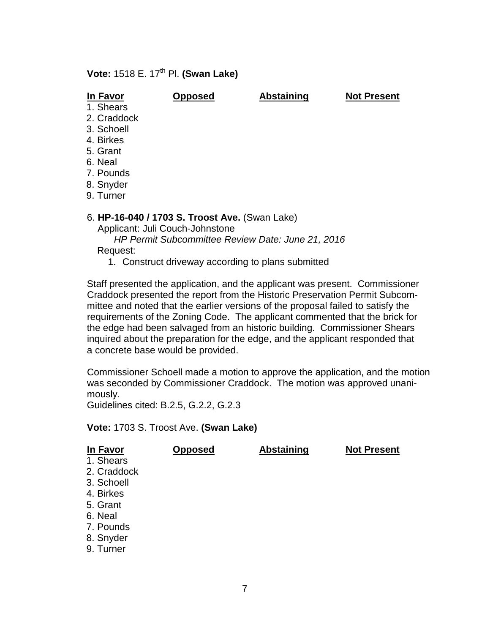## **Vote: 1518 E. 17<sup>th</sup> Pl. <b>(Swan Lake)**

 **In Favor Opposed Abstaining Not Present**

- 1. Shears
- 2. Craddock
- 3. Schoell
- 4. Birkes
- 5. Grant
- 6. Neal
- 7. Pounds
- 8. Snyder
- 9. Turner

#### 6. **HP-16-040 / 1703 S. Troost Ave.** (Swan Lake)

Applicant: Juli Couch-Johnstone

 *HP Permit Subcommittee Review Date: June 21, 2016* Request:

1. Construct driveway according to plans submitted

 Staff presented the application, and the applicant was present. Commissioner Craddock presented the report from the Historic Preservation Permit Subcom mittee and noted that the earlier versions of the proposal failed to satisfy the requirements of the Zoning Code. The applicant commented that the brick for the edge had been salvaged from an historic building. Commissioner Shears inquired about the preparation for the edge, and the applicant responded that a concrete base would be provided.

 Commissioner Schoell made a motion to approve the application, and the motion was seconded by Commissioner Craddock. The motion was approved unani mously.

Guidelines cited: B.2.5, G.2.2, G.2.3

**Vote:** 1703 S. Troost Ave. **(Swan Lake)**

| In Favor    | <b>Opposed</b> | <b>Abstaining</b> | <b>Not Present</b> |
|-------------|----------------|-------------------|--------------------|
| 1. Shears   |                |                   |                    |
| 2. Craddock |                |                   |                    |
| 3. Schoell  |                |                   |                    |
| 4. Birkes   |                |                   |                    |
| 5. Grant    |                |                   |                    |
| 6. Neal     |                |                   |                    |
| 7. Pounds   |                |                   |                    |
| 8. Snyder   |                |                   |                    |
| 9. Turner   |                |                   |                    |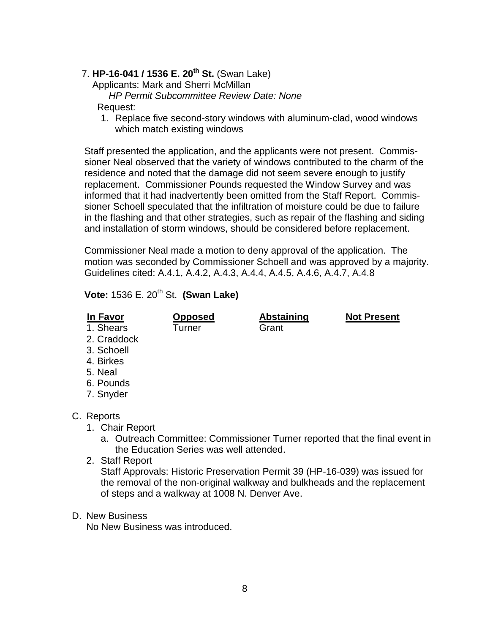## 7. **HP-16-041 / 1536 E. 20th St.** (Swan Lake)

Applicants: Mark and Sherri McMillan

*HP Permit Subcommittee Review Date: None* 

Request:

1. Replace five second-story windows with aluminum-clad, wood windows which match existing windows

 Staff presented the application, and the applicants were not present. Commis sioner Neal observed that the variety of windows contributed to the charm of the residence and noted that the damage did not seem severe enough to justify replacement. Commissioner Pounds requested the Window Survey and was informed that it had inadvertently been omitted from the Staff Report. Commis sioner Schoell speculated that the infiltration of moisture could be due to failure in the flashing and that other strategies, such as repair of the flashing and siding and installation of storm windows, should be considered before replacement.

 Commissioner Neal made a motion to deny approval of the application. The motion was seconded by Commissioner Schoell and was approved by a majority. Guidelines cited: A.4.1, A.4.2, A.4.3, A.4.4, A.4.5, A.4.6, A.4.7, A.4.8

**Vote:** 1536 E. 20<sup>th</sup> St. **(Swan Lake)** 

| In Favor<br>1. Shears<br>2. Craddock | <b>Opposed</b><br><b>Turner</b> | <b>Abstaining</b><br>Grant | <b>Not Present</b> |
|--------------------------------------|---------------------------------|----------------------------|--------------------|
| 3. Schoell                           |                                 |                            |                    |
| 4. Birkes                            |                                 |                            |                    |
| 5. Neal                              |                                 |                            |                    |
| 6. Pounds                            |                                 |                            |                    |
| 7. Snyder                            |                                 |                            |                    |
|                                      |                                 |                            |                    |
| C. Reports                           |                                 |                            |                    |
| 1. Chair Report                      |                                 |                            |                    |

- a. Outreach Committee: Commissioner Turner reported that the final event in the Education Series was well attended.
- 2. Staff Report Staff Approvals: Historic Preservation Permit 39 (HP-16-039) was issued for the removal of the non-original walkway and bulkheads and the replacement of steps and a walkway at 1008 N. Denver Ave.

#### D. New Business

No New Business was introduced.